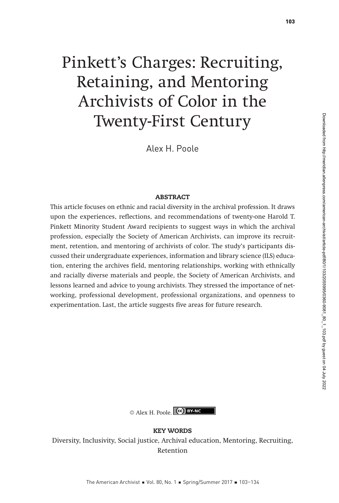# Pinkett's Charges: Recruiting, Retaining, and Mentoring Archivists of Color in the Twenty-First Century

Alex H. Poole

#### ABSTRACT

This article focuses on ethnic and racial diversity in the archival profession. It draws upon the experiences, reflections, and recommendations of twenty-one Harold T. Pinkett Minority Student Award recipients to suggest ways in which the archival profession, especially the Society of American Archivists, can improve its recruitment, retention, and mentoring of archivists of color. The study's participants discussed their undergraduate experiences, information and library science (ILS) education, entering the archives field, mentoring relationships, working with ethnically and racially diverse materials and people, the Society of American Archivists, and lessons learned and advice to young archivists. They stressed the importance of networking, professional development, professional organizations, and openness to experimentation. Last, the article suggests five areas for future research.



KEY WORDS Diversity, Inclusivity, Social justice, Archival education, Mentoring, Recruiting, Retention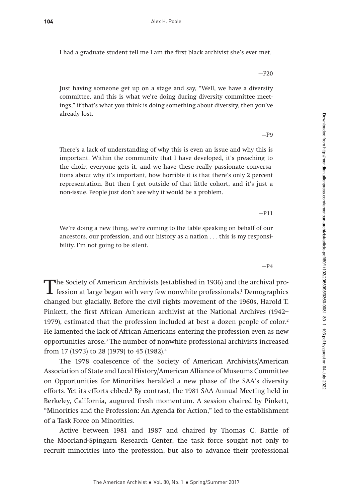I had a graduate student tell me I am the first black archivist she's ever met.

Just having someone get up on a stage and say, "Well, we have a diversity committee, and this is what we're doing during diversity committee meetings," if that's what you think is doing something about diversity, then you've already lost.

 $-P9$ 

There's a lack of understanding of why this is even an issue and why this is important. Within the community that I have developed, it's preaching to the choir; everyone gets it, and we have these really passionate conversations about why it's important, how horrible it is that there's only 2 percent representation. But then I get outside of that little cohort, and it's just a non-issue. People just don't see why it would be a problem.

—P11

We're doing a new thing, we're coming to the table speaking on behalf of our ancestors, our profession, and our history as a nation . . . this is my responsibility. I'm not going to be silent.

 $-P4$ 

Downloaded from http://meridian.allenpress.com/american-archivist/article-pdf/80/1/103/2055995/0360-9081\_80\_1\_103.pdf by guest on 04 July 2022 Downloaded from http://meridian.allenpress.com/american-archivist/article-pdf/80/1/103/2055995/0360-9081\_80\_1\_103.pdf by guest on 04 July 2022

The Society of American Archivists (established in 1936) and the archival pro-<br>fession at large began with very few nonwhite professionals.<sup>1</sup> Demographics<br>changed but glacially. Refere the sixil sights mayoment of the 196 changed but glacially. Before the civil rights movement of the 1960s, Harold T. Pinkett, the first African American archivist at the National Archives (1942– 1979), estimated that the profession included at best a dozen people of color.<sup>2</sup> He lamented the lack of African Americans entering the profession even as new opportunities arose.3 The number of nonwhite professional archivists increased from 17 (1973) to 28 (1979) to 45 (1982).4

The 1978 coalescence of the Society of American Archivists/American Association of State and Local History/American Alliance of Museums Committee on Opportunities for Minorities heralded a new phase of the SAA's diversity efforts. Yet its efforts ebbed.<sup>5</sup> By contrast, the 1981 SAA Annual Meeting held in Berkeley, California, augured fresh momentum. A session chaired by Pinkett, "Minorities and the Profession: An Agenda for Action," led to the establishment of a Task Force on Minorities.

Active between 1981 and 1987 and chaired by Thomas C. Battle of the Moorland-Spingarn Research Center, the task force sought not only to recruit minorities into the profession, but also to advance their professional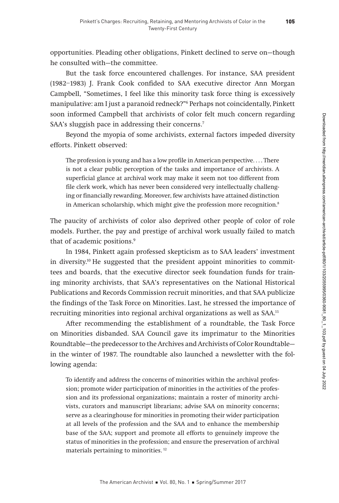opportunities. Pleading other obligations, Pinkett declined to serve on—though he consulted with—the committee.

But the task force encountered challenges. For instance, SAA president (1982–1983) J. Frank Cook confided to SAA executive director Ann Morgan Campbell, "Sometimes, I feel like this minority task force thing is excessively manipulative: am I just a paranoid redneck?"6 Perhaps not coincidentally, Pinkett soon informed Campbell that archivists of color felt much concern regarding SAA's sluggish pace in addressing their concerns.<sup>7</sup>

Beyond the myopia of some archivists, external factors impeded diversity efforts. Pinkett observed:

The profession is young and has a low profile in American perspective. . . . There is not a clear public perception of the tasks and importance of archivists. A superficial glance at archival work may make it seem not too different from file clerk work, which has never been considered very intellectually challenging or financially rewarding. Moreover, few archivists have attained distinction in American scholarship, which might give the profession more recognition.<sup>8</sup>

The paucity of archivists of color also deprived other people of color of role models. Further, the pay and prestige of archival work usually failed to match that of academic positions.<sup>9</sup>

In 1984, Pinkett again professed skepticism as to SAA leaders' investment in diversity.10 He suggested that the president appoint minorities to committees and boards, that the executive director seek foundation funds for training minority archivists, that SAA's representatives on the National Historical Publications and Records Commission recruit minorities, and that SAA publicize the findings of the Task Force on Minorities. Last, he stressed the importance of recruiting minorities into regional archival organizations as well as SAA.<sup>11</sup>

After recommending the establishment of a roundtable, the Task Force on Minorities disbanded. SAA Council gave its imprimatur to the Minorities Roundtable—the predecessor to the Archives and Archivists of Color Roundtable in the winter of 1987. The roundtable also launched a newsletter with the following agenda:

To identify and address the concerns of minorities within the archival profession; promote wider participation of minorities in the activities of the profession and its professional organizations; maintain a roster of minority archivists, curators and manuscript librarians; advise SAA on minority concerns; serve as a clearinghouse for minorities in promoting their wider participation at all levels of the profession and the SAA and to enhance the membership base of the SAA; support and promote all efforts to genuinely improve the status of minorities in the profession; and ensure the preservation of archival materials pertaining to minorities. 12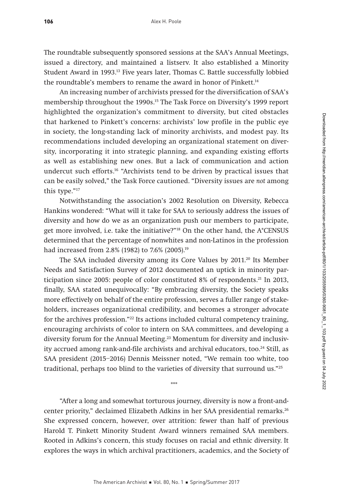The roundtable subsequently sponsored sessions at the SAA's Annual Meetings, issued a directory, and maintained a listserv. It also established a Minority Student Award in 1993.13 Five years later, Thomas C. Battle successfully lobbied the roundtable's members to rename the award in honor of Pinkett.<sup>14</sup>

An increasing number of archivists pressed for the diversification of SAA's membership throughout the 1990s.15 The Task Force on Diversity's 1999 report highlighted the organization's commitment to diversity, but cited obstacles that harkened to Pinkett's concerns: archivists' low profile in the public eye in society, the long-standing lack of minority archivists, and modest pay. Its recommendations included developing an organizational statement on diversity, incorporating it into strategic planning, and expanding existing efforts as well as establishing new ones. But a lack of communication and action undercut such efforts.16 "Archivists tend to be driven by practical issues that can be easily solved," the Task Force cautioned. "Diversity issues are not among this type."17

Notwithstanding the association's 2002 Resolution on Diversity, Rebecca Hankins wondered: "What will it take for SAA to seriously address the issues of diversity and how do we as an organization push our members to participate, get more involved, i.e. take the initiative?"18 On the other hand, the A\*CENSUS determined that the percentage of nonwhites and non-Latinos in the profession had increased from 2.8% (1982) to 7.6% (2005).<sup>19</sup>

The SAA included diversity among its Core Values by 2011.<sup>20</sup> Its Member Needs and Satisfaction Survey of 2012 documented an uptick in minority participation since 2005: people of color constituted 8% of respondents.<sup>21</sup> In 2013, finally, SAA stated unequivocally: "By embracing diversity, the Society speaks more effectively on behalf of the entire profession, serves a fuller range of stakeholders, increases organizational credibility, and becomes a stronger advocate for the archives profession."<sup>22</sup> Its actions included cultural competency training, encouraging archivists of color to intern on SAA committees, and developing a diversity forum for the Annual Meeting.23 Momentum for diversity and inclusivity accrued among rank-and-file archivists and archival educators, too.<sup>24</sup> Still, as SAA president (2015–2016) Dennis Meissner noted, "We remain too white, too traditional, perhaps too blind to the varieties of diversity that surround us."25

"After a long and somewhat torturous journey, diversity is now a front-andcenter priority," declaimed Elizabeth Adkins in her SAA presidential remarks.<sup>26</sup> She expressed concern, however, over attrition: fewer than half of previous Harold T. Pinkett Minority Student Award winners remained SAA members. Rooted in Adkins's concern, this study focuses on racial and ethnic diversity. It explores the ways in which archival practitioners, academics, and the Society of

\*\*\*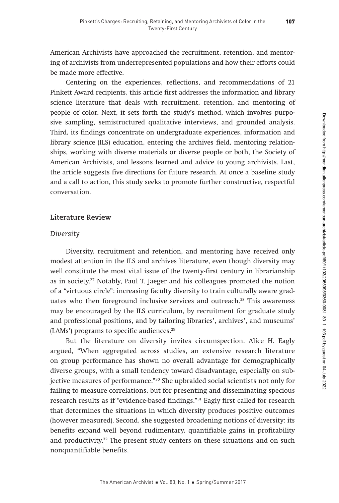American Archivists have approached the recruitment, retention, and mentoring of archivists from underrepresented populations and how their efforts could be made more effective.

Centering on the experiences, reflections, and recommendations of 21 Pinkett Award recipients, this article first addresses the information and library science literature that deals with recruitment, retention, and mentoring of people of color. Next, it sets forth the study's method, which involves purposive sampling, semistructured qualitative interviews, and grounded analysis. Third, its findings concentrate on undergraduate experiences, information and library science (ILS) education, entering the archives field, mentoring relationships, working with diverse materials or diverse people or both, the Society of American Archivists, and lessons learned and advice to young archivists. Last, the article suggests five directions for future research. At once a baseline study and a call to action, this study seeks to promote further constructive, respectful conversation.

## **Literature Review**

## *Diversity*

Diversity, recruitment and retention, and mentoring have received only modest attention in the ILS and archives literature, even though diversity may well constitute the most vital issue of the twenty-first century in librarianship as in society.27 Notably, Paul T. Jaeger and his colleagues promoted the notion of a "virtuous circle": increasing faculty diversity to train culturally aware graduates who then foreground inclusive services and outreach.<sup>28</sup> This awareness may be encouraged by the ILS curriculum, by recruitment for graduate study and professional positions, and by tailoring libraries', archives', and museums' (LAMs') programs to specific audiences.<sup>29</sup>

But the literature on diversity invites circumspection. Alice H. Eagly argued, "When aggregated across studies, an extensive research literature on group performance has shown no overall advantage for demographically diverse groups, with a small tendency toward disadvantage, especially on subjective measures of performance."30 She upbraided social scientists not only for failing to measure correlations, but for presenting and disseminating specious research results as if "evidence-based findings."31 Eagly first called for research that determines the situations in which diversity produces positive outcomes (however measured). Second, she suggested broadening notions of diversity: its benefits expand well beyond rudimentary, quantifiable gains in profitability and productivity.<sup>32</sup> The present study centers on these situations and on such nonquantifiable benefits.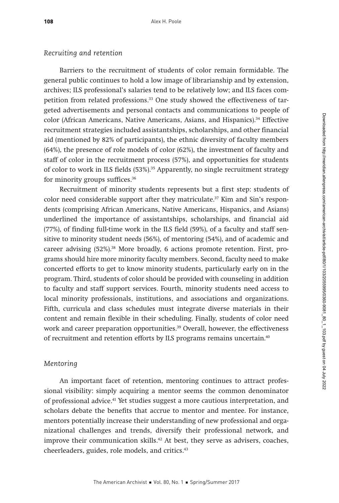## *Recruiting and retention*

Barriers to the recruitment of students of color remain formidable. The general public continues to hold a low image of librarianship and by extension, archives; ILS professional's salaries tend to be relatively low; and ILS faces competition from related professions.<sup>33</sup> One study showed the effectiveness of targeted advertisements and personal contacts and communications to people of color (African Americans, Native Americans, Asians, and Hispanics).<sup>34</sup> Effective recruitment strategies included assistantships, scholarships, and other financial aid (mentioned by 82% of participants), the ethnic diversity of faculty members (64%), the presence of role models of color (62%), the investment of faculty and staff of color in the recruitment process (57%), and opportunities for students of color to work in ILS fields (53%).<sup>35</sup> Apparently, no single recruitment strategy for minority groups suffices.36

Recruitment of minority students represents but a first step: students of color need considerable support after they matriculate. $37$  Kim and Sin's respondents (comprising African Americans, Native Americans, Hispanics, and Asians) underlined the importance of assistantships, scholarships, and financial aid (77%), of finding full-time work in the ILS field (59%), of a faculty and staff sensitive to minority student needs (56%), of mentoring (54%), and of academic and career advising  $(52\%)$ <sup>38</sup> More broadly, 6 actions promote retention. First, programs should hire more minority faculty members. Second, faculty need to make concerted efforts to get to know minority students, particularly early on in the program. Third, students of color should be provided with counseling in addition to faculty and staff support services. Fourth, minority students need access to local minority professionals, institutions, and associations and organizations. Fifth, curricula and class schedules must integrate diverse materials in their content and remain flexible in their scheduling. Finally, students of color need work and career preparation opportunities.<sup>39</sup> Overall, however, the effectiveness of recruitment and retention efforts by ILS programs remains uncertain.<sup>40</sup>

# *Mentoring*

An important facet of retention, mentoring continues to attract professional visibility: simply acquiring a mentor seems the common denominator of professional advice.41 Yet studies suggest a more cautious interpretation, and scholars debate the benefits that accrue to mentor and mentee. For instance, mentors potentially increase their understanding of new professional and organizational challenges and trends, diversify their professional network, and improve their communication skills. $42$  At best, they serve as advisers, coaches, cheerleaders, guides, role models, and critics.43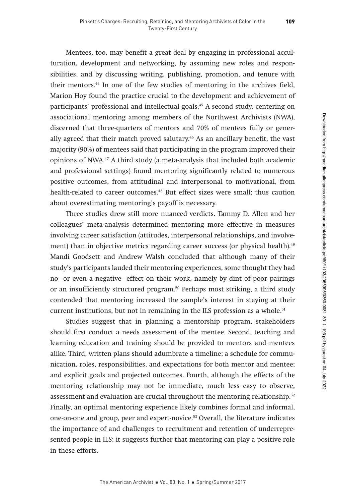Mentees, too, may benefit a great deal by engaging in professional acculturation, development and networking, by assuming new roles and responsibilities, and by discussing writing, publishing, promotion, and tenure with their mentors.44 In one of the few studies of mentoring in the archives field, Marion Hoy found the practice crucial to the development and achievement of participants' professional and intellectual goals.<sup>45</sup> A second study, centering on associational mentoring among members of the Northwest Archivists (NWA), discerned that three-quarters of mentors and 70% of mentees fully or generally agreed that their match proved salutary.<sup>46</sup> As an ancillary benefit, the vast majority (90%) of mentees said that participating in the program improved their opinions of NWA.47 A third study (a meta-analysis that included both academic and professional settings) found mentoring significantly related to numerous positive outcomes, from attitudinal and interpersonal to motivational, from health-related to career outcomes.<sup>48</sup> But effect sizes were small; thus caution about overestimating mentoring's payoff is necessary.

Three studies drew still more nuanced verdicts. Tammy D. Allen and her colleagues' meta-analysis determined mentoring more effective in measures involving career satisfaction (attitudes, interpersonal relationships, and involvement) than in objective metrics regarding career success (or physical health).<sup>49</sup> Mandi Goodsett and Andrew Walsh concluded that although many of their study's participants lauded their mentoring experiences, some thought they had no—or even a negative—effect on their work, namely by dint of poor pairings or an insufficiently structured program.50 Perhaps most striking, a third study contended that mentoring increased the sample's interest in staying at their current institutions, but not in remaining in the ILS profession as a whole.<sup>51</sup>

Studies suggest that in planning a mentorship program, stakeholders should first conduct a needs assessment of the mentee. Second, teaching and learning education and training should be provided to mentors and mentees alike. Third, written plans should adumbrate a timeline; a schedule for communication, roles, responsibilities, and expectations for both mentor and mentee; and explicit goals and projected outcomes. Fourth, although the effects of the mentoring relationship may not be immediate, much less easy to observe, assessment and evaluation are crucial throughout the mentoring relationship.52 Finally, an optimal mentoring experience likely combines formal and informal, one-on-one and group, peer and expert-novice.53 Overall, the literature indicates the importance of and challenges to recruitment and retention of underrepresented people in ILS; it suggests further that mentoring can play a positive role in these efforts.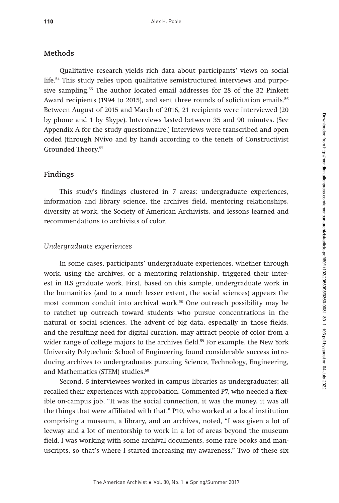## **Methods**

Qualitative research yields rich data about participants' views on social life.54 This study relies upon qualitative semistructured interviews and purposive sampling.55 The author located email addresses for 28 of the 32 Pinkett Award recipients (1994 to 2015), and sent three rounds of solicitation emails.<sup>56</sup> Between August of 2015 and March of 2016, 21 recipients were interviewed (20 by phone and 1 by Skype). Interviews lasted between 35 and 90 minutes. (See Appendix A for the study questionnaire.) Interviews were transcribed and open coded (through NVivo and by hand) according to the tenets of Constructivist Grounded Theory.57

# **Findings**

This study's findings clustered in 7 areas: undergraduate experiences, information and library science, the archives field, mentoring relationships, diversity at work, the Society of American Archivists, and lessons learned and recommendations to archivists of color.

## *Undergraduate experiences*

In some cases, participants' undergraduate experiences, whether through work, using the archives, or a mentoring relationship, triggered their interest in ILS graduate work. First, based on this sample, undergraduate work in the humanities (and to a much lesser extent, the social sciences) appears the most common conduit into archival work.58 One outreach possibility may be to ratchet up outreach toward students who pursue concentrations in the natural or social sciences. The advent of big data, especially in those fields, and the resulting need for digital curation, may attract people of color from a wider range of college majors to the archives field.<sup>59</sup> For example, the New York University Polytechnic School of Engineering found considerable success introducing archives to undergraduates pursuing Science, Technology, Engineering, and Mathematics (STEM) studies.<sup>60</sup>

Second, 6 interviewees worked in campus libraries as undergraduates; all recalled their experiences with approbation. Commented P7, who needed a flexible on-campus job, "It was the social connection, it was the money, it was all the things that were affiliated with that." P10, who worked at a local institution comprising a museum, a library, and an archives, noted, "I was given a lot of leeway and a lot of mentorship to work in a lot of areas beyond the museum field. I was working with some archival documents, some rare books and manuscripts, so that's where I started increasing my awareness." Two of these six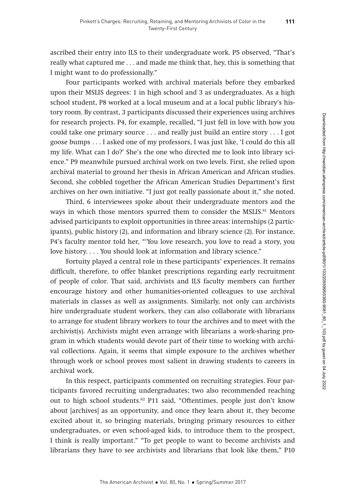ascribed their entry into ILS to their undergraduate work. P5 observed, "That's really what captured me . . . and made me think that, hey, this is something that I might want to do professionally."

Four participants worked with archival materials before they embarked upon their MSLIS degrees: 1 in high school and 3 as undergraduates. As a high school student, P8 worked at a local museum and at a local public library's history room. By contrast, 3 participants discussed their experiences using archives for research projects. P4, for example, recalled, "I just fell in love with how you could take one primary source . . . and really just build an entire story . . . I got goose bumps . . . I asked one of my professors, I was just like, 'I could do this all my life. What can I do?' She's the one who directed me to look into library science." P9 meanwhile pursued archival work on two levels. First, she relied upon archival material to ground her thesis in African American and African studies. Second, she cobbled together the African American Studies Department's first archives on her own initiative. "I just got really passionate about it," she noted.

Third, 6 interviewees spoke about their undergraduate mentors and the ways in which those mentors spurred them to consider the MSLIS.<sup>61</sup> Mentors advised participants to exploit opportunities in three areas: internships (2 participants), public history (2), and information and library science (2). For instance, P4's faculty mentor told her, "'You love research, you love to read a story, you love history. . . . You should look at information and library science."

Fortuity played a central role in these participants' experiences. It remains difficult, therefore, to offer blanket prescriptions regarding early recruitment of people of color. That said, archivists and ILS faculty members can further encourage history and other humanities-oriented colleagues to use archival materials in classes as well as assignments. Similarly, not only can archivists hire undergraduate student workers, they can also collaborate with librarians to arrange for student library workers to tour the archives and to meet with the archivist(s). Archivists might even arrange with librarians a work-sharing program in which students would devote part of their time to working with archival collections. Again, it seems that simple exposure to the archives whether through work or school proves most salient in drawing students to careers in archival work.

In this respect, participants commented on recruiting strategies. Four participants favored recruiting undergraduates; two also recommended reaching out to high school students.62 P11 said, "Oftentimes, people just don't know about [archives] as an opportunity, and once they learn about it, they become excited about it, so bringing materials, bringing primary resources to either undergraduates, or even school-aged kids, to introduce them to the prospect, I think is really important." "To get people to want to become archivists and librarians they have to see archivists and librarians that look like them," P10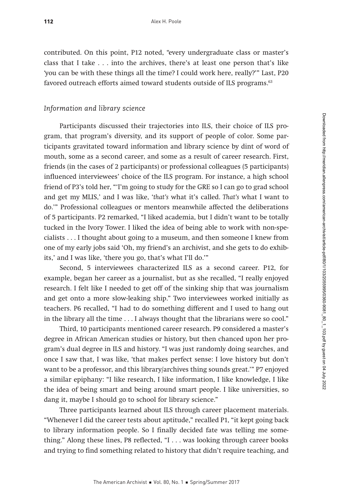contributed. On this point, P12 noted, "every undergraduate class or master's class that I take . . . into the archives, there's at least one person that's like 'you can be with these things all the time? I could work here, really?'" Last, P20 favored outreach efforts aimed toward students outside of ILS programs.<sup>63</sup>

## *Information and library science*

Participants discussed their trajectories into ILS, their choice of ILS program, that program's diversity, and its support of people of color. Some participants gravitated toward information and library science by dint of word of mouth, some as a second career, and some as a result of career research. First, friends (in the cases of 2 participants) or professional colleagues (5 participants) influenced interviewees' choice of the ILS program. For instance, a high school friend of P3's told her, "'I'm going to study for the GRE so I can go to grad school and get my MLIS,' and I was like, 'that's what it's called. That's what I want to do.'" Professional colleagues or mentors meanwhile affected the deliberations of 5 participants. P2 remarked, "I liked academia, but I didn't want to be totally tucked in the Ivory Tower. I liked the idea of being able to work with non-specialists . . . I thought about going to a museum, and then someone I knew from one of my early jobs said 'Oh, my friend's an archivist, and she gets to do exhibits,' and I was like, 'there you go, that's what I'll do.'"

Second, 5 interviewees characterized ILS as a second career. P12, for example, began her career as a journalist, but as she recalled, "I really enjoyed research. I felt like I needed to get off of the sinking ship that was journalism and get onto a more slow-leaking ship." Two interviewees worked initially as teachers. P6 recalled, "I had to do something different and I used to hang out in the library all the time . . . I always thought that the librarians were so cool."

Third, 10 participants mentioned career research. P9 considered a master's degree in African American studies or history, but then chanced upon her program's dual degree in ILS and history. "I was just randomly doing searches, and once I saw that, I was like, 'that makes perfect sense: I love history but don't want to be a professor, and this library/archives thing sounds great.'" P7 enjoyed a similar epiphany: "I like research, I like information, I like knowledge, I like the idea of being smart and being around smart people. I like universities, so dang it, maybe I should go to school for library science."

Three participants learned about ILS through career placement materials. "Whenever I did the career tests about aptitude," recalled P1, "it kept going back to library information people. So I finally decided fate was telling me something." Along these lines, P8 reflected, "I . . . was looking through career books and trying to find something related to history that didn't require teaching, and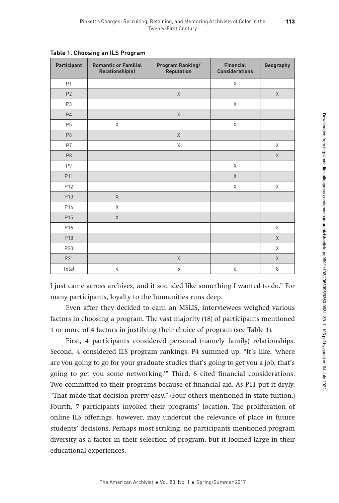| Participant     | <b>Romantic or Familial</b><br>Relationship(s) | <b>Program Ranking/</b><br>Reputation | <b>Financial</b><br><b>Considerations</b> | Geography |
|-----------------|------------------------------------------------|---------------------------------------|-------------------------------------------|-----------|
| P1              |                                                |                                       | Χ                                         |           |
| P <sub>2</sub>  |                                                | $\mathsf{X}$                          |                                           | X         |
| P <sub>3</sub>  |                                                |                                       | Χ                                         |           |
| P <sub>4</sub>  |                                                | X                                     |                                           |           |
| P <sub>5</sub>  | $\times$                                       |                                       | $\mathsf X$                               |           |
| P6              |                                                | X                                     |                                           |           |
| P7              |                                                | X                                     |                                           | X         |
| P <sub>8</sub>  |                                                |                                       |                                           | $\times$  |
| P9              |                                                |                                       | X                                         |           |
| P11             |                                                |                                       | $\chi$                                    |           |
| P12             |                                                |                                       | X                                         | X         |
| P <sub>13</sub> | $\chi$                                         |                                       |                                           |           |
| P14             | X                                              |                                       |                                           |           |
| P <sub>15</sub> | X                                              |                                       |                                           |           |
| P16             |                                                |                                       |                                           | X         |
| P18             |                                                |                                       |                                           | X         |
| P20             |                                                |                                       |                                           | X         |
| P21             |                                                | $\times$                              |                                           | $\times$  |
| Total           | $\overline{4}$                                 | 5                                     | 6                                         | 8         |

**Table 1. Choosing an ILS Program**

I just came across archives, and it sounded like something I wanted to do." For many participants, loyalty to the humanities runs deep.

Even after they decided to earn an MSLIS, interviewees weighed various factors in choosing a program. The vast majority (18) of participants mentioned 1 or more of 4 factors in justifying their choice of program (see Table 1).

First, 4 participants considered personal (namely family) relationships. Second, 4 considered ILS program rankings. P4 summed up, "It's like, 'where are you going to go for your graduate studies that's going to get you a job, that's going to get you some networking.'" Third, 6 cited financial considerations. Two committed to their programs because of financial aid. As P11 put it dryly, "That made that decision pretty easy." (Four others mentioned in-state tuition.) Fourth, 7 participants invoked their programs' location. The proliferation of online ILS offerings, however, may undercut the relevance of place in future students' decisions. Perhaps most striking, no participants mentioned program diversity as a factor in their selection of program, but it loomed large in their educational experiences.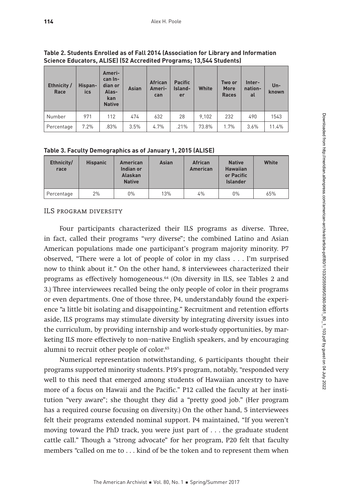| Ethnicity/<br>Race | Hispan-<br>ics | Ameri-<br>can In-<br>dian or<br>Alas-<br>kan<br><b>Native</b> | Asian | <b>African</b><br>Ameri-<br>can | <b>Pacific</b><br>Island-<br>er | White | Two or<br><b>More</b><br><b>Races</b> | Inter-<br>nation-<br>al | $Un -$<br>known |
|--------------------|----------------|---------------------------------------------------------------|-------|---------------------------------|---------------------------------|-------|---------------------------------------|-------------------------|-----------------|
| Number             | 971            | 112                                                           | 474   | 632                             | 28                              | 9.102 | 232                                   | 490                     | 1543            |
| Percentage         | 7.2%           | .83%                                                          | 3.5%  | 4.7%                            | .21%                            | 73.8% | 1.7%                                  | 3.6%                    | 11.4%           |

**Table 2. Students Enrolled as of Fall 2014 (Association for Library and Information Science Educators, ALISE) (52 Accredited Programs; 13,544 Students)**

|  | Table 3. Faculty Demographics as of January 1, 2015 (ALISE) |
|--|-------------------------------------------------------------|
|  |                                                             |

| Ethnicity/<br>race | <b>Hispanic</b> | <b>American</b><br>Indian or<br><b>Alaskan</b><br><b>Native</b> | <b>Asian</b> | <b>African</b><br><b>American</b> | <b>Native</b><br><b>Hawaiian</b><br>or Pacific<br><b>Islander</b> | White |
|--------------------|-----------------|-----------------------------------------------------------------|--------------|-----------------------------------|-------------------------------------------------------------------|-------|
| Percentage         | 2%              | $0\%$                                                           | 13%          | 4%                                | $0\%$                                                             | 65%   |

ILS program diversity

Four participants characterized their ILS programs as diverse. Three, in fact, called their programs "very diverse"; the combined Latino and Asian American populations made one participant's program majority minority. P7 observed, "There were a lot of people of color in my class . . . I'm surprised now to think about it." On the other hand, 8 interviewees characterized their programs as effectively homogeneous.64 (On diversity in ILS, see Tables 2 and 3.) Three interviewees recalled being the only people of color in their programs or even departments. One of those three, P4, understandably found the experience "a little bit isolating and disappointing." Recruitment and retention efforts aside, ILS programs may stimulate diversity by integrating diversity issues into the curriculum, by providing internship and work-study opportunities, by marketing ILS more effectively to non–native English speakers, and by encouraging alumni to recruit other people of color.<sup>65</sup>

Numerical representation notwithstanding, 6 participants thought their programs supported minority students. P19's program, notably, "responded very well to this need that emerged among students of Hawaiian ancestry to have more of a focus on Hawaii and the Pacific." P12 called the faculty at her institution "very aware"; she thought they did a "pretty good job." (Her program has a required course focusing on diversity.) On the other hand, 5 interviewees felt their programs extended nominal support. P4 maintained, "If you weren't moving toward the PhD track, you were just part of . . . the graduate student cattle call." Though a "strong advocate" for her program, P20 felt that faculty members "called on me to . . . kind of be the token and to represent them when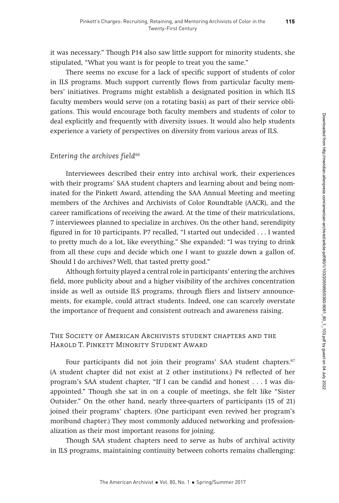it was necessary." Though P14 also saw little support for minority students, she stipulated, "What you want is for people to treat you the same."

There seems no excuse for a lack of specific support of students of color in ILS programs. Much support currently flows from particular faculty members' initiatives. Programs might establish a designated position in which ILS faculty members would serve (on a rotating basis) as part of their service obligations. This would encourage both faculty members and students of color to deal explicitly and frequently with diversity issues. It would also help students experience a variety of perspectives on diversity from various areas of ILS.

# *Entering the archives field66*

Interviewees described their entry into archival work, their experiences with their programs' SAA student chapters and learning about and being nominated for the Pinkett Award, attending the SAA Annual Meeting and meeting members of the Archives and Archivists of Color Roundtable (AACR), and the career ramifications of receiving the award. At the time of their matriculations, 7 interviewees planned to specialize in archives. On the other hand, serendipity figured in for 10 participants. P7 recalled, "I started out undecided . . . I wanted to pretty much do a lot, like everything." She expanded: "I was trying to drink from all these cups and decide which one I want to guzzle down a gallon of. Should I do archives? Well, that tasted pretty good."

Although fortuity played a central role in participants' entering the archives field, more publicity about and a higher visibility of the archives concentration inside as well as outside ILS programs, through fliers and listserv announcements, for example, could attract students. Indeed, one can scarcely overstate the importance of frequent and consistent outreach and awareness raising.

# The Society of American Archivists student chapters and the Harold T. Pinkett Minority Student Award

Four participants did not join their programs' SAA student chapters.<sup>67</sup> (A student chapter did not exist at 2 other institutions.) P4 reflected of her program's SAA student chapter, "If I can be candid and honest . . . I was disappointed." Though she sat in on a couple of meetings, she felt like "Sister Outsider." On the other hand, nearly three-quarters of participants (15 of 21) joined their programs' chapters. (One participant even revived her program's moribund chapter.) They most commonly adduced networking and professionalization as their most important reasons for joining.

Though SAA student chapters need to serve as hubs of archival activity in ILS programs, maintaining continuity between cohorts remains challenging: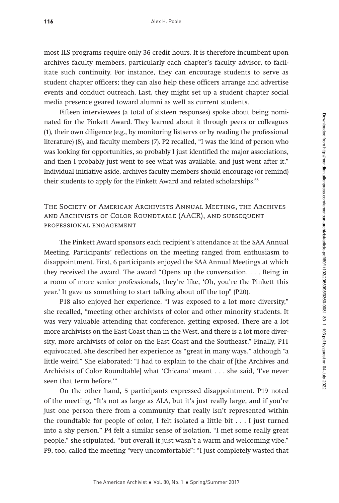most ILS programs require only 36 credit hours. It is therefore incumbent upon archives faculty members, particularly each chapter's faculty advisor, to facilitate such continuity. For instance, they can encourage students to serve as student chapter officers; they can also help these officers arrange and advertise events and conduct outreach. Last, they might set up a student chapter social media presence geared toward alumni as well as current students.

Fifteen interviewees (a total of sixteen responses) spoke about being nominated for the Pinkett Award. They learned about it through peers or colleagues (1), their own diligence (e.g., by monitoring listservs or by reading the professional literature) (8), and faculty members (7). P2 recalled, "I was the kind of person who was looking for opportunities, so probably I just identified the major associations, and then I probably just went to see what was available, and just went after it." Individual initiative aside, archives faculty members should encourage (or remind) their students to apply for the Pinkett Award and related scholarships.<sup>68</sup>

# The Society of American Archivists Annual Meeting, the Archives and Archivists of Color Roundtable (AACR), and subsequent professional engagement

The Pinkett Award sponsors each recipient's attendance at the SAA Annual Meeting. Participants' reflections on the meeting ranged from enthusiasm to disappointment. First, 6 participants enjoyed the SAA Annual Meetings at which they received the award. The award "Opens up the conversation. . . . Being in a room of more senior professionals, they're like, 'Oh, you're the Pinkett this year.' It gave us something to start talking about off the top" (P20).

P18 also enjoyed her experience. "I was exposed to a lot more diversity," she recalled, "meeting other archivists of color and other minority students. It was very valuable attending that conference, getting exposed. There are a lot more archivists on the East Coast than in the West, and there is a lot more diversity, more archivists of color on the East Coast and the Southeast." Finally, P11 equivocated. She described her experience as "great in many ways," although "a little weird." She elaborated: "I had to explain to the chair of [the Archives and Archivists of Color Roundtable] what 'Chicana' meant . . . she said, 'I've never seen that term before.'"

On the other hand, 5 participants expressed disappointment. P19 noted of the meeting, "It's not as large as ALA, but it's just really large, and if you're just one person there from a community that really isn't represented within the roundtable for people of color, I felt isolated a little bit . . . I just turned into a shy person." P4 felt a similar sense of isolation. "I met some really great people," she stipulated, "but overall it just wasn't a warm and welcoming vibe." P9, too, called the meeting "very uncomfortable": "I just completely wasted that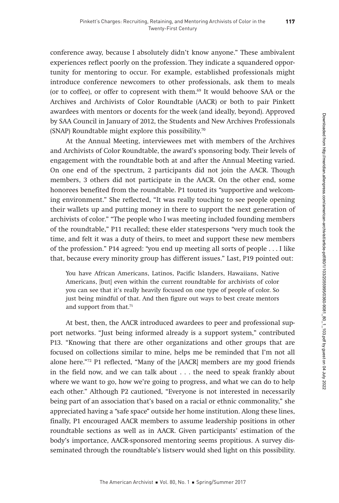conference away, because I absolutely didn't know anyone." These ambivalent experiences reflect poorly on the profession. They indicate a squandered opportunity for mentoring to occur. For example, established professionals might introduce conference newcomers to other professionals, ask them to meals (or to coffee), or offer to copresent with them.69 It would behoove SAA or the Archives and Archivists of Color Roundtable (AACR) or both to pair Pinkett awardees with mentors or docents for the week (and ideally, beyond). Approved by SAA Council in January of 2012, the Students and New Archives Professionals (SNAP) Roundtable might explore this possibility.70

At the Annual Meeting, interviewees met with members of the Archives and Archivists of Color Roundtable, the award's sponsoring body. Their levels of engagement with the roundtable both at and after the Annual Meeting varied. On one end of the spectrum, 2 participants did not join the AACR. Though members, 3 others did not participate in the AACR. On the other end, some honorees benefited from the roundtable. P1 touted its "supportive and welcoming environment." She reflected, "It was really touching to see people opening their wallets up and putting money in there to support the next generation of archivists of color." "The people who I was meeting included founding members of the roundtable," P11 recalled; these elder statespersons "very much took the time, and felt it was a duty of theirs, to meet and support these new members of the profession." P14 agreed: "you end up meeting all sorts of people . . . I like that, because every minority group has different issues." Last, P19 pointed out:

You have African Americans, Latinos, Pacific Islanders, Hawaiians, Native Americans, [but] even within the current roundtable for archivists of color you can see that it's really heavily focused on one type of people of color. So just being mindful of that. And then figure out ways to best create mentors and support from that.<sup>71</sup>

At best, then, the AACR introduced awardees to peer and professional support networks. "Just being informed already is a support system," contributed P13. "Knowing that there are other organizations and other groups that are focused on collections similar to mine, helps me be reminded that I'm not all alone here."72 P1 reflected, "Many of the [AACR] members are my good friends in the field now, and we can talk about . . . the need to speak frankly about where we want to go, how we're going to progress, and what we can do to help each other." Although P2 cautioned, "Everyone is not interested in necessarily being part of an association that's based on a racial or ethnic commonality," she appreciated having a "safe space" outside her home institution. Along these lines, finally, P1 encouraged AACR members to assume leadership positions in other roundtable sections as well as in AACR. Given participants' estimation of the body's importance, AACR-sponsored mentoring seems propitious. A survey disseminated through the roundtable's listserv would shed light on this possibility.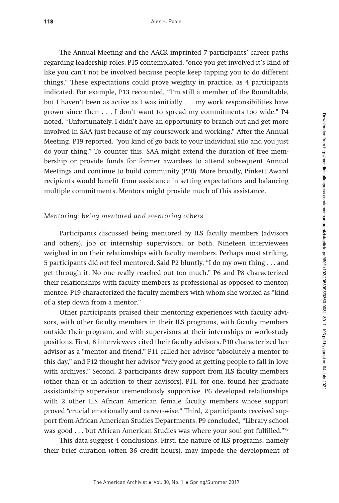The Annual Meeting and the AACR imprinted 7 participants' career paths regarding leadership roles. P15 contemplated, "once you get involved it's kind of like you can't not be involved because people keep tapping you to do different things." These expectations could prove weighty in practice, as 4 participants indicated. For example, P13 recounted, "I'm still a member of the Roundtable, but I haven't been as active as I was initially . . . my work responsibilities have grown since then . . . I don't want to spread my commitments too wide." P4 noted, "Unfortunately, I didn't have an opportunity to branch out and get more involved in SAA just because of my coursework and working." After the Annual Meeting, P19 reported, "you kind of go back to your individual silo and you just do your thing." To counter this, SAA might extend the duration of free membership or provide funds for former awardees to attend subsequent Annual Meetings and continue to build community (P20). More broadly, Pinkett Award recipients would benefit from assistance in setting expectations and balancing multiple commitments. Mentors might provide much of this assistance.

### *Mentoring: being mentored and mentoring others*

Participants discussed being mentored by ILS faculty members (advisors and others), job or internship supervisors, or both. Nineteen interviewees weighed in on their relationships with faculty members. Perhaps most striking, 5 participants did not feel mentored. Said P2 bluntly, "I do my own thing . . . and get through it. No one really reached out too much." P6 and P8 characterized their relationships with faculty members as professional as opposed to mentor/ mentee. P19 characterized the faculty members with whom she worked as "kind of a step down from a mentor."

Other participants praised their mentoring experiences with faculty advisors, with other faculty members in their ILS programs, with faculty members outside their program, and with supervisors at their internships or work-study positions. First, 8 interviewees cited their faculty advisors. P10 characterized her advisor as a "mentor and friend," P11 called her advisor "absolutely a mentor to this day," and P12 thought her advisor "very good at getting people to fall in love with archives." Second, 2 participants drew support from ILS faculty members (other than or in addition to their advisors). P11, for one, found her graduate assistantship supervisor tremendously supportive. P6 developed relationships with 2 other ILS African American female faculty members whose support proved "crucial emotionally and career-wise." Third, 2 participants received support from African American Studies Departments. P9 concluded, "Library school was good  $\dots$  but African American Studies was where your soul got fulfilled."<sup>73</sup>

This data suggest 4 conclusions. First, the nature of ILS programs, namely their brief duration (often 36 credit hours), may impede the development of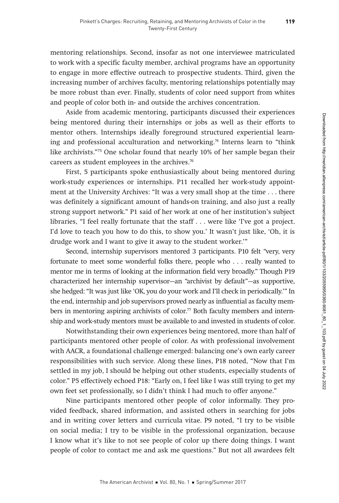mentoring relationships. Second, insofar as not one interviewee matriculated to work with a specific faculty member, archival programs have an opportunity to engage in more effective outreach to prospective students. Third, given the increasing number of archives faculty, mentoring relationships potentially may be more robust than ever. Finally, students of color need support from whites and people of color both in- and outside the archives concentration.

Aside from academic mentoring, participants discussed their experiences being mentored during their internships or jobs as well as their efforts to mentor others. Internships ideally foreground structured experiential learning and professional acculturation and networking.<sup>74</sup> Interns learn to "think" like archivists."75 One scholar found that nearly 10% of her sample began their careers as student employees in the archives.<sup>76</sup>

First, 5 participants spoke enthusiastically about being mentored during work-study experiences or internships. P11 recalled her work-study appointment at the University Archives: "It was a very small shop at the time . . . there was definitely a significant amount of hands-on training, and also just a really strong support network." P1 said of her work at one of her institution's subject libraries, "I feel really fortunate that the staff . . . were like 'I've got a project. I'd love to teach you how to do this, to show you.' It wasn't just like, 'Oh, it is drudge work and I want to give it away to the student worker.'"

Second, internship supervisors mentored 3 participants. P10 felt "very, very fortunate to meet some wonderful folks there, people who . . . really wanted to mentor me in terms of looking at the information field very broadly." Though P19 characterized her internship supervisor—an "archivist by default"—as supportive, she hedged: "It was just like 'OK, you do your work and I'll check in periodically.'" In the end, internship and job supervisors proved nearly as influential as faculty members in mentoring aspiring archivists of color.<sup>77</sup> Both faculty members and internship and work-study mentors must be available to and invested in students of color.

Notwithstanding their own experiences being mentored, more than half of participants mentored other people of color. As with professional involvement with AACR, a foundational challenge emerged: balancing one's own early career responsibilities with such service. Along these lines, P18 noted, "Now that I'm settled in my job, I should be helping out other students, especially students of color." P5 effectively echoed P18: "Early on, I feel like I was still trying to get my own feet set professionally, so I didn't think I had much to offer anyone."

Nine participants mentored other people of color informally. They provided feedback, shared information, and assisted others in searching for jobs and in writing cover letters and curricula vitae. P9 noted, "I try to be visible on social media; I try to be visible in the professional organization, because I know what it's like to not see people of color up there doing things. I want people of color to contact me and ask me questions." But not all awardees felt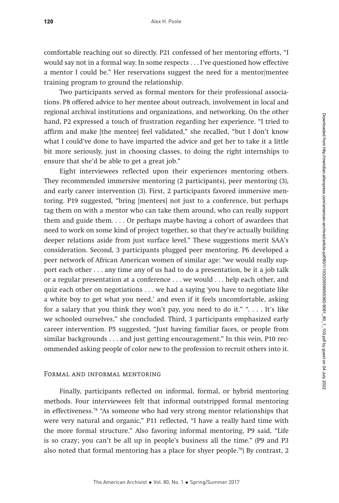comfortable reaching out so directly. P21 confessed of her mentoring efforts, "I would say not in a formal way. In some respects . . . I've questioned how effective a mentor I could be." Her reservations suggest the need for a mentor/mentee training program to ground the relationship.

Two participants served as formal mentors for their professional associations. P8 offered advice to her mentee about outreach, involvement in local and regional archival institutions and organizations, and networking. On the other hand, P2 expressed a touch of frustration regarding her experience. "I tried to affirm and make [the mentee] feel validated," she recalled, "but I don't know what I could've done to have imparted the advice and get her to take it a little bit more seriously, just in choosing classes, to doing the right internships to ensure that she'd be able to get a great job."

Eight interviewees reflected upon their experiences mentoring others. They recommended immersive mentoring (2 participants), peer mentoring (3), and early career intervention (3). First, 2 participants favored immersive mentoring. P19 suggested, "bring [mentees] not just to a conference, but perhaps tag them on with a mentor who can take them around, who can really support them and guide them. . . . Or perhaps maybe having a cohort of awardees that need to work on some kind of project together, so that they're actually building deeper relations aside from just surface level." These suggestions merit SAA's consideration. Second, 3 participants plugged peer mentoring. P6 developed a peer network of African American women of similar age: "we would really support each other . . . any time any of us had to do a presentation, be it a job talk or a regular presentation at a conference . . . we would . . . help each other, and quiz each other on negotiations . . . we had a saying 'you have to negotiate like a white boy to get what you need,' and even if it feels uncomfortable, asking for a salary that you think they won't pay, you need to do it." ". . . . It's like we schooled ourselves," she concluded. Third, 3 participants emphasized early career intervention. P5 suggested, "Just having familiar faces, or people from similar backgrounds . . . and just getting encouragement." In this vein, P10 recommended asking people of color new to the profession to recruit others into it.

#### Formal and informal mentoring

Finally, participants reflected on informal, formal, or hybrid mentoring methods. Four interviewees felt that informal outstripped formal mentoring in effectiveness.78 "As someone who had very strong mentor relationships that were very natural and organic," P11 reflected, "I have a really hard time with the more formal structure." Also favoring informal mentoring, P9 said, "Life is so crazy; you can't be all up in people's business all the time." (P9 and P3 also noted that formal mentoring has a place for shyer people.<sup>79</sup>) By contrast, 2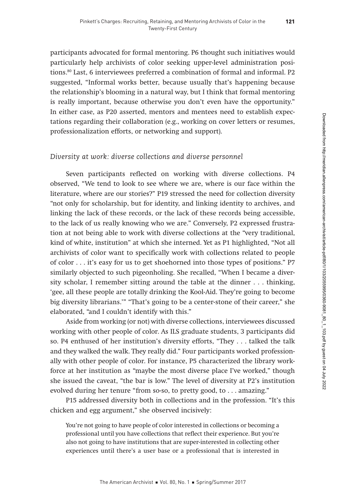participants advocated for formal mentoring. P6 thought such initiatives would particularly help archivists of color seeking upper-level administration positions.80 Last, 6 interviewees preferred a combination of formal and informal. P2 suggested, "Informal works better, because usually that's happening because the relationship's blooming in a natural way, but I think that formal mentoring is really important, because otherwise you don't even have the opportunity." In either case, as P20 asserted, mentors and mentees need to establish expectations regarding their collaboration (e.g., working on cover letters or resumes, professionalization efforts, or networking and support).

# *Diversity at work: diverse collections and diverse personnel*

Seven participants reflected on working with diverse collections. P4 observed, "We tend to look to see where we are, where is our face within the literature, where are our stories?" P19 stressed the need for collection diversity "not only for scholarship, but for identity, and linking identity to archives, and linking the lack of these records, or the lack of these records being accessible, to the lack of us really knowing who we are." Conversely, P2 expressed frustration at not being able to work with diverse collections at the "very traditional, kind of white, institution" at which she interned. Yet as P1 highlighted, "Not all archivists of color want to specifically work with collections related to people of color . . . it's easy for us to get shoehorned into those types of positions." P7 similarly objected to such pigeonholing. She recalled, "When I became a diversity scholar, I remember sitting around the table at the dinner . . . thinking, 'gee, all these people are totally drinking the Kool-Aid. They're going to become big diversity librarians.'" "That's going to be a center-stone of their career," she elaborated, "and I couldn't identify with this."

Aside from working (or not) with diverse collections, interviewees discussed working with other people of color. As ILS graduate students, 3 participants did so. P4 enthused of her institution's diversity efforts, "They . . . talked the talk and they walked the walk. They really did." Four participants worked professionally with other people of color. For instance, P5 characterized the library workforce at her institution as "maybe the most diverse place I've worked," though she issued the caveat, "the bar is low." The level of diversity at P2's institution evolved during her tenure "from so-so, to pretty good, to . . . amazing."

P15 addressed diversity both in collections and in the profession. "It's this chicken and egg argument," she observed incisively:

You're not going to have people of color interested in collections or becoming a professional until you have collections that reflect their experience. But you're also not going to have institutions that are super-interested in collecting other experiences until there's a user base or a professional that is interested in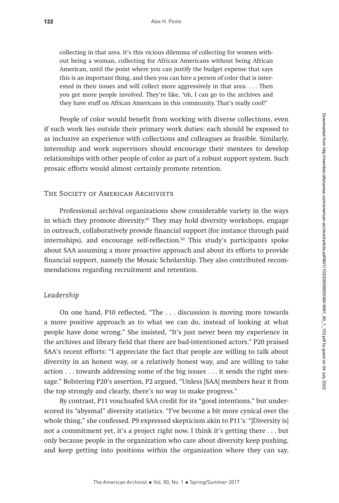collecting in that area. It's this vicious dilemma of collecting for women without being a woman, collecting for African Americans without being African American, until the point where you can justify the budget expense that says this is an important thing, and then you can hire a person of color that is interested in their issues and will collect more aggressively in that area. . . . Then you get more people involved. They're like, "oh, I can go to the archives and they have stuff on African Americans in this community. That's really cool!"

People of color would benefit from working with diverse collections, even if such work lies outside their primary work duties: each should be exposed to as inclusive an experience with collections and colleagues as feasible. Similarly, internship and work supervisors should encourage their mentees to develop relationships with other people of color as part of a robust support system. Such prosaic efforts would almost certainly promote retention.

#### The Society of American Archivists

Professional archival organizations show considerable variety in the ways in which they promote diversity.<sup>81</sup> They may hold diversity workshops, engage in outreach, collaboratively provide financial support (for instance through paid internships), and encourage self-reflection.<sup>82</sup> This study's participants spoke about SAA assuming a more proactive approach and about its efforts to provide financial support, namely the Mosaic Scholarship. They also contributed recommendations regarding recruitment and retention.

#### *Leadership*

On one hand, P10 reflected, "The . . . discussion is moving more towards a more positive approach as to what we can do, instead of looking at what people have done wrong." She insisted, "It's just never been my experience in the archives and library field that there are bad-intentioned actors." P20 praised SAA's recent efforts: "I appreciate the fact that people are willing to talk about diversity in an honest way, or a relatively honest way, and are willing to take action . . . towards addressing some of the big issues . . . it sends the right message." Bolstering P20's assertion, P2 argued, "Unless [SAA] members hear it from the top strongly and clearly, there's no way to make progress."

By contrast, P11 vouchsafed SAA credit for its "good intentions," but underscored its "abysmal" diversity statistics. "I've become a bit more cynical over the whole thing," she confessed. P9 expressed skepticism akin to P11's: "[Diversity is] not a commitment yet, it's a project right now. I think it's getting there . . . but only because people in the organization who care about diversity keep pushing, and keep getting into positions within the organization where they can say,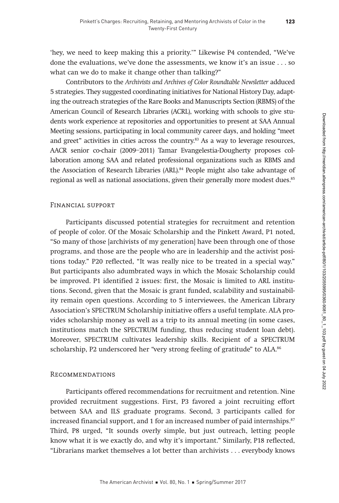'hey, we need to keep making this a priority.'" Likewise P4 contended, "We've done the evaluations, we've done the assessments, we know it's an issue . . . so what can we do to make it change other than talking?"

Contributors to the Archivists and Archives of Color Roundtable Newsletter adduced 5 strategies. They suggested coordinating initiatives for National History Day, adapting the outreach strategies of the Rare Books and Manuscripts Section (RBMS) of the American Council of Research Libraries (ACRL), working with schools to give students work experience at repositories and opportunities to present at SAA Annual Meeting sessions, participating in local community career days, and holding "meet and greet" activities in cities across the country.<sup>83</sup> As a way to leverage resources, AACR senior co-chair (2009–2011) Tamar Evangelestia-Dougherty proposes collaboration among SAA and related professional organizations such as RBMS and the Association of Research Libraries (ARL).<sup>84</sup> People might also take advantage of regional as well as national associations, given their generally more modest dues.<sup>85</sup>

#### Financial support

Participants discussed potential strategies for recruitment and retention of people of color. Of the Mosaic Scholarship and the Pinkett Award, P1 noted, "So many of those [archivists of my generation] have been through one of those programs, and those are the people who are in leadership and the activist positions today." P20 reflected, "It was really nice to be treated in a special way." But participants also adumbrated ways in which the Mosaic Scholarship could be improved. P1 identified 2 issues: first, the Mosaic is limited to ARL institutions. Second, given that the Mosaic is grant funded, scalability and sustainability remain open questions. According to 5 interviewees, the American Library Association's SPECTRUM Scholarship initiative offers a useful template. ALA provides scholarship money as well as a trip to its annual meeting (in some cases, institutions match the SPECTRUM funding, thus reducing student loan debt). Moreover, SPECTRUM cultivates leadership skills. Recipient of a SPECTRUM scholarship, P2 underscored her "very strong feeling of gratitude" to ALA.<sup>86</sup>

#### Recommendations

Participants offered recommendations for recruitment and retention. Nine provided recruitment suggestions. First, P3 favored a joint recruiting effort between SAA and ILS graduate programs. Second, 3 participants called for increased financial support, and 1 for an increased number of paid internships.<sup>87</sup> Third, P8 urged, "It sounds overly simple, but just outreach, letting people know what it is we exactly do, and why it's important." Similarly, P18 reflected, "Librarians market themselves a lot better than archivists . . . everybody knows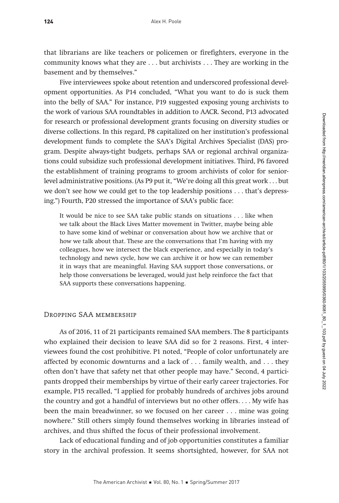that librarians are like teachers or policemen or firefighters, everyone in the community knows what they are . . . but archivists . . . They are working in the basement and by themselves."

Five interviewees spoke about retention and underscored professional development opportunities. As P14 concluded, "What you want to do is suck them into the belly of SAA." For instance, P19 suggested exposing young archivists to the work of various SAA roundtables in addition to AACR. Second, P13 advocated for research or professional development grants focusing on diversity studies or diverse collections. In this regard, P8 capitalized on her institution's professional development funds to complete the SAA's Digital Archives Specialist (DAS) program. Despite always-tight budgets, perhaps SAA or regional archival organizations could subsidize such professional development initiatives. Third, P6 favored the establishment of training programs to groom archivists of color for seniorlevel administrative positions. (As P9 put it, "We're doing all this great work . . . but we don't see how we could get to the top leadership positions . . . that's depressing.") Fourth, P20 stressed the importance of SAA's public face:

It would be nice to see SAA take public stands on situations . . . like when we talk about the Black Lives Matter movement in Twitter, maybe being able to have some kind of webinar or conversation about how we archive that or how we talk about that. These are the conversations that I'm having with my colleagues, how we intersect the black experience, and especially in today's technology and news cycle, how we can archive it or how we can remember it in ways that are meaningful. Having SAA support those conversations, or help those conversations be leveraged, would just help reinforce the fact that SAA supports these conversations happening.

#### Dropping SAA membership

As of 2016, 11 of 21 participants remained SAA members. The 8 participants who explained their decision to leave SAA did so for 2 reasons. First, 4 interviewees found the cost prohibitive. P1 noted, "People of color unfortunately are affected by economic downturns and a lack of . . . family wealth, and . . . they often don't have that safety net that other people may have." Second, 4 participants dropped their memberships by virtue of their early career trajectories. For example, P15 recalled, "I applied for probably hundreds of archives jobs around the country and got a handful of interviews but no other offers. . . . My wife has been the main breadwinner, so we focused on her career . . . mine was going nowhere." Still others simply found themselves working in libraries instead of archives, and thus shifted the focus of their professional involvement.

Lack of educational funding and of job opportunities constitutes a familiar story in the archival profession. It seems shortsighted, however, for SAA not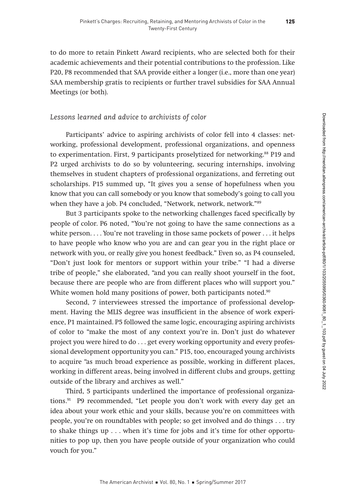to do more to retain Pinkett Award recipients, who are selected both for their academic achievements and their potential contributions to the profession. Like P20, P8 recommended that SAA provide either a longer (i.e., more than one year) SAA membership gratis to recipients or further travel subsidies for SAA Annual Meetings (or both).

# *Lessons learned and advice to archivists of color*

Participants' advice to aspiring archivists of color fell into 4 classes: networking, professional development, professional organizations, and openness to experimentation. First, 9 participants proselytized for networking.<sup>88</sup> P19 and P2 urged archivists to do so by volunteering, securing internships, involving themselves in student chapters of professional organizations, and ferreting out scholarships. P15 summed up, "It gives you a sense of hopefulness when you know that you can call somebody or you know that somebody's going to call you when they have a job. P4 concluded, "Network, network, network."89

But 3 participants spoke to the networking challenges faced specifically by people of color. P6 noted, "You're not going to have the same connections as a white person. . . . You're not traveling in those same pockets of power . . . it helps to have people who know who you are and can gear you in the right place or network with you, or really give you honest feedback." Even so, as P4 counseled, "Don't just look for mentors or support within your tribe." "I had a diverse tribe of people," she elaborated, "and you can really shoot yourself in the foot, because there are people who are from different places who will support you." White women hold many positions of power, both participants noted.<sup>90</sup>

Second, 7 interviewees stressed the importance of professional development. Having the MLIS degree was insufficient in the absence of work experience, P1 maintained. P5 followed the same logic, encouraging aspiring archivists of color to "make the most of any context you're in. Don't just do whatever project you were hired to do . . . get every working opportunity and every professional development opportunity you can." P15, too, encouraged young archivists to acquire "as much broad experience as possible, working in different places, working in different areas, being involved in different clubs and groups, getting outside of the library and archives as well."

Third, 5 participants underlined the importance of professional organizations.<sup>91</sup> P9 recommended, "Let people you don't work with every day get an idea about your work ethic and your skills, because you're on committees with people, you're on roundtables with people; so get involved and do things . . . try to shake things up . . . when it's time for jobs and it's time for other opportunities to pop up, then you have people outside of your organization who could vouch for you."

The American Archivist Vol. 80, No. 1 Spring/Summer 2017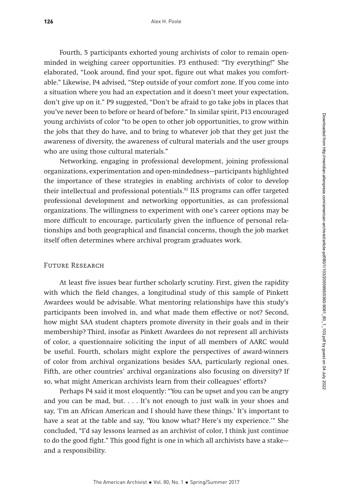Fourth, 5 participants exhorted young archivists of color to remain openminded in weighing career opportunities. P3 enthused: "Try everything!" She elaborated, "Look around, find your spot, figure out what makes you comfortable." Likewise, P4 advised, "Step outside of your comfort zone. If you come into a situation where you had an expectation and it doesn't meet your expectation, don't give up on it." P9 suggested, "Don't be afraid to go take jobs in places that you've never been to before or heard of before." In similar spirit, P13 encouraged young archivists of color "to be open to other job opportunities, to grow within the jobs that they do have, and to bring to whatever job that they get just the awareness of diversity, the awareness of cultural materials and the user groups who are using those cultural materials."

Networking, engaging in professional development, joining professional organizations, experimentation and open-mindedness—participants highlighted the importance of these strategies in enabling archivists of color to develop their intellectual and professional potentials.<sup>92</sup> ILS programs can offer targeted professional development and networking opportunities, as can professional organizations. The willingness to experiment with one's career options may be more difficult to encourage, particularly given the influence of personal relationships and both geographical and financial concerns, though the job market itself often determines where archival program graduates work.

#### Future Research

At least five issues bear further scholarly scrutiny. First, given the rapidity with which the field changes, a longitudinal study of this sample of Pinkett Awardees would be advisable. What mentoring relationships have this study's participants been involved in, and what made them effective or not? Second, how might SAA student chapters promote diversity in their goals and in their membership? Third, insofar as Pinkett Awardees do not represent all archivists of color, a questionnaire soliciting the input of all members of AARC would be useful. Fourth, scholars might explore the perspectives of award-winners of color from archival organizations besides SAA, particularly regional ones. Fifth, are other countries' archival organizations also focusing on diversity? If so, what might American archivists learn from their colleagues' efforts?

Perhaps P4 said it most eloquently: "You can be upset and you can be angry and you can be mad, but. . . . It's not enough to just walk in your shoes and say, 'I'm an African American and I should have these things.' It's important to have a seat at the table and say, 'You know what? Here's my experience.'" She concluded, "I'd say lessons learned as an archivist of color, I think just continue to do the good fight." This good fight is one in which all archivists have a stake and a responsibility.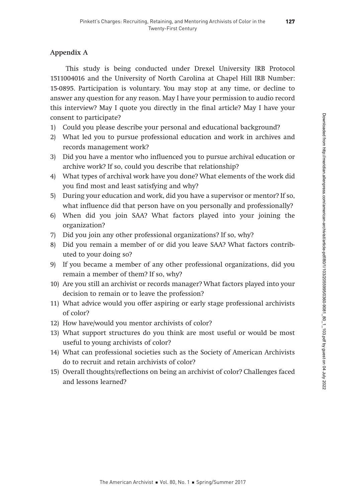## Appendix A

This study is being conducted under Drexel University IRB Protocol 1511004016 and the University of North Carolina at Chapel Hill IRB Number: 15-0895. Participation is voluntary. You may stop at any time, or decline to answer any question for any reason. May I have your permission to audio record this interview? May I quote you directly in the final article? May I have your consent to participate?

- 1) Could you please describe your personal and educational background?
- 2) What led you to pursue professional education and work in archives and records management work?
- 3) Did you have a mentor who influenced you to pursue archival education or archive work? If so, could you describe that relationship?
- 4) What types of archival work have you done? What elements of the work did you find most and least satisfying and why?
- 5) During your education and work, did you have a supervisor or mentor? If so, what influence did that person have on you personally and professionally?
- 6) When did you join SAA? What factors played into your joining the organization?
- 7) Did you join any other professional organizations? If so, why?
- 8) Did you remain a member of or did you leave SAA? What factors contributed to your doing so?
- 9) If you became a member of any other professional organizations, did you remain a member of them? If so, why?
- 10) Are you still an archivist or records manager? What factors played into your decision to remain or to leave the profession?
- 11) What advice would you offer aspiring or early stage professional archivists of color?
- 12) How have/would you mentor archivists of color?
- 13) What support structures do you think are most useful or would be most useful to young archivists of color?
- 14) What can professional societies such as the Society of American Archivists do to recruit and retain archivists of color?
- 15) Overall thoughts/reflections on being an archivist of color? Challenges faced and lessons learned?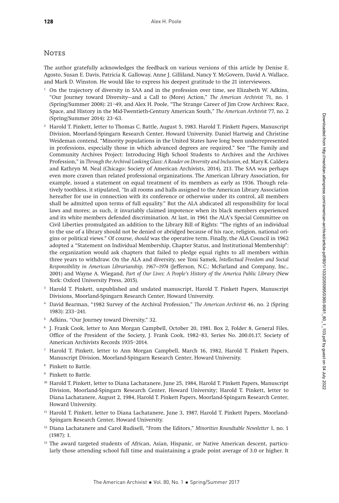#### **NOTES**

The author gratefully acknowledges the feedback on various versions of this article by Denise E. Agosto, Susan E. Davis, Patricia K. Galloway, Anne J. Gilliland, Nancy Y. McGovern, David A. Wallace, and Mark D. Winston. He would like to express his deepest gratitude to the 21 interviewees.

- <sup>1</sup> On the trajectory of diversity in SAA and in the profession over time, see Elizabeth W. Adkins, "Our Journey toward Diversity—and a Call to (More) Action," The American Archivist 71, no. 1 (Spring/Summer 2008): 21–49, and Alex H. Poole, "The Strange Career of Jim Crow Archives: Race, Space, and History in the Mid-Twentieth-Century American South," The American Archivist 77, no. 2 (Spring/Summer 2014): 23–63.
- <sup>2</sup> Harold T. Pinkett, letter to Thomas C. Battle, August 5, 1983. Harold T. Pinkett Papers, Manuscript Division, Moorland-Spingarn Research Center, Howard University. Daniel Hartwig and Christine Weideman contend, "Minority populations in the United States have long been underrepresented in professions, especially those in which advanced degrees are required." See "The Family and Community Archives Project: Introducing High School Students to Archives and the Archives Profession," in Through the Archival Looking Glass: A Reader on Diversity and Inclusion, ed. Mary K. Caldera and Kathryn M. Neal (Chicago: Society of American Archivists, 2014), 213. The SAA was perhaps even more craven than related professional organizations. The American Library Association, for example, issued a statement on equal treatment of its members as early as 1936. Though relatively toothless, it stipulated, "In all rooms and halls assigned to the American Library Association hereafter for use in connection with its conference or otherwise under its control, all members shall be admitted upon terms of full equality." But the ALA abdicated all responsibility for local laws and mores; as such, it invariably claimed impotence when its black members experienced and its white members defended discrimination. At last, in 1961 the ALA's Special Committee on Civil Liberties promulgated an addition to the Library Bill of Rights: "The rights of an individual to the use of a library should not be denied or abridged because of his race, religion, national origins or political views." Of course, should was the operative term. Finally, the ALA Council in 1962 adopted a "Statement on Individual Membership, Chapter Status, and Institutional Membership": the organization would ask chapters that failed to pledge equal rights to all members within three years to withdraw. On the ALA and diversity, see Toni Samek, Intellectual Freedom and Social Responsibility in American Librarianship, 1967–1974 (Jefferson, N.C.: McFarland and Company, Inc., 2001) and Wayne A. Wiegand, Part of Our Lives: A People's History of the America Public Library (New York: Oxford University Press, 2015).
- <sup>3</sup> Harold T. Pinkett, unpublished and undated manuscript, Harold T. Pinkett Papers, Manuscript Divisions, Moorland-Spingarn Research Center, Howard University.
- <sup>4</sup> David Bearman, "1982 Survey of the Archival Profession," The American Archivist 46, no. 2 (Spring 1983): 233–241.
- <sup>5</sup> Adkins, "Our Journey toward Diversity," 32.
- <sup>6</sup> J. Frank Cook, letter to Ann Morgan Campbell, October 20, 1981. Box 2, Folder 8, General Files, Office of the President of the Society, J. Frank Cook, 1982–83, Series No. 200.01.17, Society of American Archivists Records 1935–2014.
- <sup>7</sup> Harold T. Pinkett, letter to Ann Morgan Campbell, March 16, 1982, Harold T. Pinkett Papers, Manuscript Division, Moorland-Spingarn Research Center, Howard University.
- <sup>8</sup> Pinkett to Battle.
- <sup>9</sup> Pinkett to Battle.
- <sup>10</sup> Harold T. Pinkett, letter to Diana Lachatanere, June 25, 1984, Harold T. Pinkett Papers, Manuscript Division, Moorland-Spingarn Research Center, Howard University; Harold T. Pinkett, letter to Diana Lachatanere, August 2, 1984, Harold T. Pinkett Papers, Moorland-Spingarn Research Center, Howard University.
- <sup>11</sup> Harold T. Pinkett, letter to Diana Lachatanere, June 3, 1987, Harold T. Pinkett Papers, Moorland-Spingarn Research Center, Howard University.
- <sup>12</sup> Diana Lachatanere and Carol Rudisell, "From the Editors," Minorities Roundtable Newsletter 1, no. 1 (1987): 1.
- <sup>13</sup> The award targeted students of African, Asian, Hispanic, or Native American descent, particularly those attending school full time and maintaining a grade point average of 3.0 or higher. It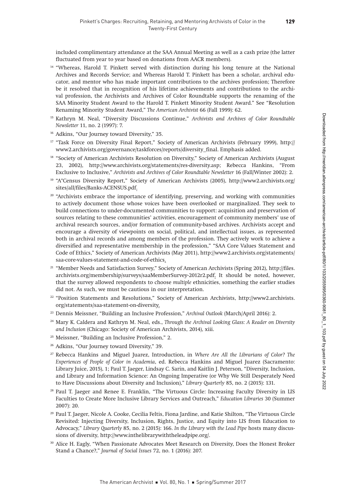included complimentary attendance at the SAA Annual Meeting as well as a cash prize (the latter fluctuated from year to year based on donations from AACR members).

- <sup>14</sup> "Whereas, Harold T. Pinkett served with distinction during his long tenure at the National Archives and Records Service; and Whereas Harold T. Pinkett has been a scholar, archival educator, and mentor who has made important contributions to the archives profession; Therefore be it resolved that in recognition of his lifetime achievements and contributions to the archival profession, the Archivists and Archives of Color Roundtable supports the renaming of the SAA Minority Student Award to the Harold T. Pinkett Minority Student Award." See "Resolution Renaming Minority Student Award," The American Archivist 66 (Fall 1999): 62.
- <sup>15</sup> Kathryn M. Neal, "Diversity Discussions Continue," Archivists and Archives of Color Roundtable Newsletter 11, no. 2 (1997): 7.
- <sup>16</sup> Adkins, "Our Journey toward Diversity," 35.
- <sup>17</sup> "Task Force on Diversity Final Report," Society of American Archivists (February 1999), [http://](http://www2.archivists.org/governance/taskforces/reports/diversity_final) [www2.archivists.org/governance/taskforces/reports/diversity\\_final.](http://www2.archivists.org/governance/taskforces/reports/diversity_final) Emphasis added.
- <sup>18</sup> "Society of American Archivists Resolution on Diversity," Society of American Archivists (August 23, 2002), [http://www.archivists.org/statements/res-diversity.asp;](http://www.archivists.org/statements/res-diversity.asp) Rebecca Hankins, "From Exclusive to Inclusive," Archivists and Archives of Color Roundtable Newsletter 16 (Fall/Winter 2002): 2.
- <sup>19</sup> "A\*Census Diversity Report," Society of American Archivists (2005), [http://www2.archivists.org/](http://www2.archivists.org/sites/all/files/Banks-ACENSUS.pdf) [sites/all/files/Banks-ACENSUS.pdf](http://www2.archivists.org/sites/all/files/Banks-ACENSUS.pdf).
- <sup>20</sup> "Archivists embrace the importance of identifying, preserving, and working with communities to actively document those whose voices have been overlooked or marginalized. They seek to build connections to under-documented communities to support: acquisition and preservation of sources relating to these communities' activities, encouragement of community members' use of archival research sources, and/or formation of community-based archives. Archivists accept and encourage a diversity of viewpoints on social, political, and intellectual issues, as represented both in archival records and among members of the profession. They actively work to achieve a diversified and representative membership in the profession," "SAA Core Values Statement and Code of Ethics," Society of American Archivists (May 2011), [http://www2.archivists.org/statements/](http://www2.archivists.org/statements/saa) [saa](http://www2.archivists.org/statements/saa)-core-values-statement-and-code-of-ethics.
- <sup>21</sup> "Member Needs and Satisfaction Survey," Society of American Archivists (Spring 2012), [http://files.](http://files.archivists.org/membership/surveys/saaMemberSurvey-2012r2.pdf) [archivists.org/membership/surveys/saaMemberSurvey-2012r2.pdf.](http://files.archivists.org/membership/surveys/saaMemberSurvey-2012r2.pdf) It should be noted, however, that the survey allowed respondents to choose multiple ethnicities, something the earlier studies did not. As such, we must be cautious in our interpretation.
- <sup>22</sup> "Position Statements and Resolutions," Society of American Archivists, [http://www2.archivists.](http://www2.archivists.org/statements/saa) [org/statements/saa](http://www2.archivists.org/statements/saa)-statement-on-diversity.
- <sup>23</sup> Dennis Meissner, "Building an Inclusive Profession," Archival Outlook (March/April 2016): 2.
- <sup>24</sup> Mary K. Caldera and Kathryn M. Neal, eds., Through the Archival Looking Glass: A Reader on Diversity and Inclusion (Chicago: Society of American Archivists, 2014), xiii.
- <sup>25</sup> Meissner, "Building an Inclusive Profession," 2.
- <sup>26</sup> Adkins, "Our Journey toward Diversity," 39.
- <sup>27</sup> Rebecca Hankins and Miguel Juarez, Introduction, in Where Are All the Librarians of Color? The Experiences of People of Color in Academia, ed. Rebecca Hankins and Miguel Juarez (Sacramento: Library Juice, 2015), 1; Paul T. Jaeger, Lindsay C. Sarin, and Kaitlin J. Peterson, "Diversity, Inclusion, and Library and Information Science: An Ongoing Imperative (or Why We Still Desperately Need to Have Discussions about Diversity and Inclusion)," Library Quarterly 85, no. 2 (2015): 131.
- <sup>28</sup> Paul T. Jaeger and Renee E. Franklin, "The Virtuous Circle: Increasing Faculty Diversity in LIS Faculties to Create More Inclusive Library Services and Outreach," Education Libraries 30 (Summer 2007): 20.
- <sup>29</sup> Paul T. Jaeger, Nicole A. Cooke, Cecilia Feltis, Fiona Jardine, and Katie Shilton, "The Virtuous Circle Revisited: Injecting Diversity, Inclusion, Rights, Justice, and Equity into LIS from Education to Advocacy," Library Quarterly 85, no. 2 (2015): 166. In the Library with the Lead Pipe hosts many discussions of diversity, [http://www.inthelibrarywiththeleadpipe.org/](http://www.inthelibrarywiththeleadpipe.org).
- <sup>30</sup> Alice H. Eagly, "When Passionate Advocates Meet Research on Diversity, Does the Honest Broker Stand a Chance?," Journal of Social Issues 72, no. 1 (2016): 207.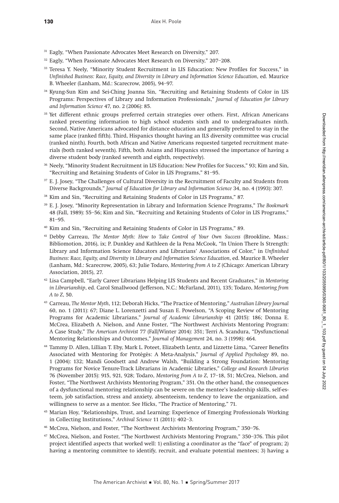- <sup>31</sup> Eagly, "When Passionate Advocates Meet Research on Diversity," 207.
- <sup>32</sup> Eagly, "When Passionate Advocates Meet Research on Diversity," 207–208.
- <sup>33</sup> Teresa Y. Neely, "Minority Student Recruitment in LIS Education: New Profiles for Success," in Unfinished Business: Race, Equity, and Diversity in Library and Information Science Education, ed. Maurice B. Wheeler (Lanham, Md.: Scarecrow, 2005), 94–97.
- <sup>34</sup> Kyung-Sun Kim and Sei-Ching Joanna Sin, "Recruiting and Retaining Students of Color in LIS Programs: Perspectives of Library and Information Professionals," Journal of Education for Library and Information Science 47, no. 2 (2006): 85.
- <sup>35</sup> Yet different ethnic groups preferred certain strategies over others. First, African Americans ranked presenting information to high school students sixth and to undergraduates ninth. Second, Native Americans advocated for distance education and generally preferred to stay in the same place (ranked fifth). Third, Hispanics thought having an ILS diversity committee was crucial (ranked ninth). Fourth, both African and Native Americans requested targeted recruitment materials (both ranked seventh). Fifth, both Asians and Hispanics stressed the importance of having a diverse student body (ranked seventh and eighth, respectively).
- <sup>36</sup> Neely, "Minority Student Recruitment in LIS Education: New Profiles for Success," 93; Kim and Sin, "Recruiting and Retaining Students of Color in LIS Programs," 81–95.
- <sup>37</sup> E. J. Josey, "The Challenges of Cultural Diversity in the Recruitment of Faculty and Students from Diverse Backgrounds," Journal of Education for Library and Information Science 34, no. 4 (1993): 307.
- <sup>38</sup> Kim and Sin, "Recruiting and Retaining Students of Color in LIS Programs," 87.
- <sup>39</sup> E. J. Josey, "Minority Representation in Library and Information Science Programs," The Bookmark 48 (Fall, 1989): 55–56; Kim and Sin, "Recruiting and Retaining Students of Color in LIS Programs," 81–95.
- <sup>40</sup> Kim and Sin, "Recruiting and Retaining Students of Color in LIS Programs," 89.
- <sup>41</sup> Debby Carreau, The Mentor Myth: How to Take Control of Your Own Success (Brookline, Mass.: Bibliomotion, 2016), ix; P. Dunkley and Kathleen de la Pena McCook, "In Union There Is Strength: Library and Information Science Educators and Librarians' Associations of Color," in Unfinished Business: Race, Equity, and Diversity in Library and Information Science Education, ed. Maurice B. Wheeler (Lanham, Md.: Scarecrow, 2005), 63; Julie Todaro, Mentoring from A to Z (Chicago: American Library Association, 2015), 27.
- $42$  Lisa Campbell, "Early Career Librarians Helping LIS Students and Recent Graduates," in Mentoring in Librarianship, ed. Carol Smallwood (Jefferson, N.C.: McFarland, 2011), 135; Todaro, Mentoring from A to Z, 50.
- <sup>43</sup> Carreau, The Mentor Myth, 112; Deborah Hicks, "The Practice of Mentoring," Australian Library Journal 60, no. 1 (2011): 67; Diane L. Lorenzetti and Susan E. Powelson, "A Scoping Review of Mentoring Programs for Academic Librarians," Journal of Academic Librarianship 41 (2015): 186; Donna E. McCrea, Elizabeth A. Nielson, and Anne Foster, "The Northwest Archivists Mentoring Program: A Case Study," The American Archivist 77 (Fall/Winter 2014): 351; Terri A. Scandura, "Dysfunctional Mentoring Relationships and Outcomes," Journal of Management 24, no. 3 (1998): 464.
- <sup>44</sup> Tammy D. Allen, Lillian T. Eby, Mark L. Poteet, Elizabeth Lentz, and Lizzette Lima, "Career Benefits Associated with Mentoring for Protégés: A Meta-Analysis," Journal of Applied Psychology 89, no. 1 (2004): 132; Mandi Goodsett and Andrew Walsh, "Building a Strong Foundation: Mentoring Programs for Novice Tenure-Track Librarians in Academic Libraries," College and Research Libraries 76 (November 2015): 915, 921, 928; Todaro, Mentoring from A to Z, 17–18, 51; McCrea, Nielson, and Foster, "The Northwest Archivists Mentoring Program," 351. On the other hand, the consequences of a dysfunctional mentoring relationship can be severe on the mentee's leadership skills, self-esteem, job satisfaction, stress and anxiety, absenteeism, tendency to leave the organization, and willingness to serve as a mentor. See Hicks, "The Practice of Mentoring," 71.
- <sup>45</sup> Marian Hoy, "Relationships, Trust, and Learning: Experience of Emerging Professionals Working in Collecting Institutions," Archival Science 11 (2011): 402–3.
- <sup>46</sup> McCrea, Nielson, and Foster, "The Northwest Archivists Mentoring Program," 350–76.
- <sup>47</sup> McCrea, Nielson, and Foster, "The Northwest Archivists Mentoring Program," 350–376. This pilot project identified aspects that worked well: 1) enlisting a coordinator as the "face" of program; 2) having a mentoring committee to identify, recruit, and evaluate potential mentees; 3) having a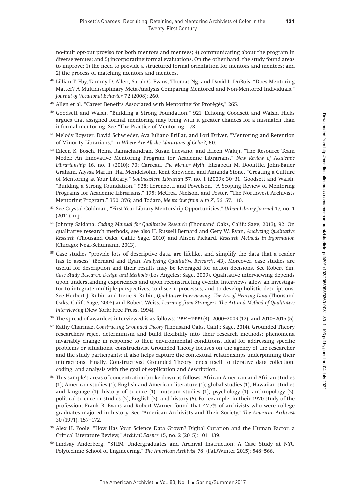no-fault opt-out proviso for both mentors and mentees; 4) communicating about the program in diverse venues; and 5) incorporating formal evaluations. On the other hand, the study found areas to improve: 1) the need to provide a structured formal orientation for mentors and mentees; and 2) the process of matching mentors and mentees.

- <sup>48</sup> Lillian T. Eby, Tammy D. Allen, Sarah C. Evans, Thomas Ng, and David L. DuBois, "Does Mentoring Matter? A Multidisciplinary Meta-Analysis Comparing Mentored and Non-Mentored Individuals," Journal of Vocational Behavior 72 (2008): 260.
- <sup>49</sup> Allen et al. "Career Benefits Associated with Mentoring for Protégés," 265.
- <sup>50</sup> Goodsett and Walsh, "Building a Strong Foundation," 921. Echoing Goodsett and Walsh, Hicks argues that assigned formal mentoring may bring with it greater chances for a mismatch than informal mentoring. See "The Practice of Mentoring," 73.
- <sup>51</sup> Melody Royster, David Schwieder, Ava Iuliano Brillat, and Lori Driver, "Mentoring and Retention of Minority Librarians," in Where Are All the Librarians of Color?, 60.
- <sup>52</sup> Eileen K. Bosch, Hema Ramachandran, Susan Luevano, and Eileen Wakiji, "The Resource Team Model: An Innovative Mentoring Program for Academic Librarians," New Review of Academic Librarianship 16, no. 1 (2010): 70; Carreau, The Mentor Myth; Elizabeth M. Doolittle, John-Bauer Graham, Alyssa Martin, Hal Mendelsohn, Kent Snowden, and Amanda Stone, "Creating a Culture of Mentoring at Your Library," Southeastern Librarian 57, no. 1 (2009): 30–31; Goodsett and Walsh, "Building a Strong Foundation," 928; Lorenzetti and Powelson, "A Scoping Review of Mentoring Programs for Academic Librarians," 195; McCrea, Nielson, and Foster, "The Northwest Archivists Mentoring Program," 350–376; and Todaro, Mentoring from A to Z, 56–57, 110.
- 53 See Crystal Goldman, "First-Year Library Mentorship Opportunities," Urban Library Journal 17, no. 1 (2011): n.p.
- <sup>54</sup> Johnny Saldana, Coding Manual for Qualitative Research (Thousand Oaks, Calif.: Sage, 2013), 92. On qualitative research methods, see also H. Russell Bernard and Gery W. Ryan, Analyzing Qualitative Research (Thousand Oaks, Calif.: Sage, 2010) and Alison Pickard, Research Methods in Information (Chicago: Neal-Schumann, 2013).
- <sup>55</sup> Case studies "provide lots of descriptive data, are lifelike, and simplify the data that a reader has to assess" (Bernard and Ryan, Analyzing Qualitative Research, 43). Moreover, case studies are useful for description and their results may be leveraged for action decisions. See Robert Yin, Case Study Research: Design and Methods (Los Angeles: Sage, 2009). Qualitative interviewing depends upon understanding experiences and upon reconstructing events. Interviews allow an investigator to integrate multiple perspectives, to discern processes, and to develop holistic descriptions. See Herbert J. Rubin and Irene S. Rubin, Qualitative Interviewing: The Art of Hearing Data (Thousand Oaks, Calif.: Sage, 2005) and Robert Weiss, Learning from Strangers: The Art and Method of Qualitative Interviewing (New York: Free Press, 1994).
- <sup>56</sup> The spread of awardees interviewed is as follows: 1994–1999 (4); 2000–2009 (12); and 2010–2015 (5).
- <sup>57</sup> Kathy Charmaz, Constructing Grounded Theory (Thousand Oaks, Calif.: Sage, 2014). Grounded Theory researchers reject determinism and build flexibility into their research methods: phenomena invariably change in response to their environmental conditions. Ideal for addressing specific problems or situations, constructivist Grounded Theory focuses on the agency of the researcher and the study participants; it also helps capture the contextual relationships underpinning their interactions. Finally, Constructivist Grounded Theory lends itself to iterative data collection, coding, and analysis with the goal of explication and description.
- <sup>58</sup> This sample's areas of concentration broke down as follows: African American and African studies (1); American studies (1); English and American literature (1); global studies (1); Hawaiian studies and language (1); history of science (1); museum studies (1); psychology (1); anthropology (2); political science or studies (2); English (3); and history (6). For example, in their 1970 study of the profession, Frank B. Evans and Robert Warner found that 47.7% of archivists who were college graduates majored in history. See "American Archivists and Their Society," The American Archivist 30 (1971): 157–172.
- <sup>59</sup> Alex H. Poole, "How Has Your Science Data Grown? Digital Curation and the Human Factor, a Critical Literature Review," Archival Science 15, no. 2 (2015): 101–139.
- <sup>60</sup> Lindsay Anderberg, "STEM Undergraduates and Archival Instruction: A Case Study at NYU Polytechnic School of Engineering," The American Archivist 78 (Fall/Winter 2015): 548–566.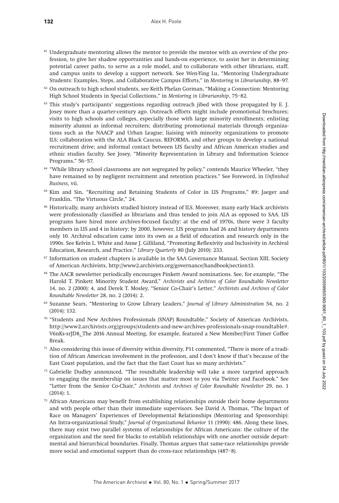- $61$  Undergraduate mentoring allows the mentor to provide the mentee with an overview of the profession, to give her shadow opportunities and hands-on experience, to assist her in determining potential career paths, to serve as a role model, and to collaborate with other librarians, staff, and campus units to develop a support network. See Wen-Ying Lu, "Mentoring Undergraduate Students: Examples, Steps, and Collaborative Campus Efforts," in Mentoring in Librarianship, 88–97.
- $62$  On outreach to high school students, see Keith Phelan Gorman, "Making a Connection: Mentoring High School Students in Special Collections," in Mentoring in Librarianship, 75–82.
- $63$  This study's participants' suggestions regarding outreach jibed with those propagated by E. J. Josey more than a quarter-century ago. Outreach efforts might include promotional brochures; visits to high schools and colleges, especially those with large minority enrollments; enlisting minority alumni as informal recruiters; distributing promotional materials through organizations such as the NAACP and Urban League; liaising with minority organizations to promote ILS; collaboration with the ALA Black Caucus, REFORMA, and other groups to develop a national recruitment drive; and informal contact between LIS faculty and African American studies and ethnic studies faculty. See Josey, "Minority Representation in Library and Information Science Programs," 56–57.
- <sup>64</sup> "While library school classrooms are not segregated by policy," contends Maurice Wheeler, "they have remained so by negligent recruitment and retention practices." See Foreword, in Unfinished Business, vii.
- <sup>65</sup> Kim and Sin, "Recruiting and Retaining Students of Color in LIS Programs," 89; Jaeger and Franklin, "The Virtuous Circle," 24.
- <sup>66</sup> Historically, many archivists studied history instead of ILS. Moreover, many early black archivists were professionally classified as librarians and thus tended to join ALA as opposed to SAA. LIS programs have hired more archives-focused faculty: at the end of 1970s, there were 3 faculty members in LIS and 4 in history; by 2000, however, LIS programs had 26 and history departments only 10. Archival education came into its own as a field of education and research only in the 1990s. See Kelvin L. White and Anne J. Gilliland, "Promoting Reflexivity and Inclusivity in Archival Education, Research, and Practice," Library Quarterly 80 (July 2010): 233.
- <sup>67</sup> Information on student chapters is available in the SAA Governance Manual, Section XIII, Society of American Archivists, <http://www2.archivists.org/governance/handbook/section13>.
- <sup>68</sup> The AACR newsletter periodically encourages Pinkett Award nominations. See, for example, "The Harold T. Pinkett Minority Student Award," Archivists and Archives of Color Roundtable Newsletter 14, no. 2 (2000): 4, and Derek T. Mosley, "Senior Co-Chair's Letter," Archivists and Archives of Color Roundtable Newsletter 28, no. 2 (2014): 2.
- <sup>69</sup> Suzanne Sears, "Mentoring to Grow Library Leaders," Journal of Library Administration 54, no. 2 (2014): 132.
- <sup>70</sup> "Students and New Archives Professionals (SNAP) Roundtable," Society of American Archivists, [http://www2.archivists.org/groups/students-](http://www2.archivists.org/groups/students)and-new-archives-professionals-snap-roundtable#. V6nKs-srJD8. The 2016 Annual Meeting, for example, featured a New Member/First Timer Coffee Break.
- <sup>71</sup> Also considering this issue of diversity within diversity, P11 commented, "There is more of a tradition of African American involvement in the profession, and I don't know if that's because of the East Coast population, and the fact that the East Coast has so many archivists."
- $72$  Gabrielle Dudley announced, "The roundtable leadership will take a more targeted approach to engaging the membership on issues that matter most to you via Twitter and Facebook." See "Letter from the Senior Co-Chair," Archivists and Archives of Color Roundtable Newsletter 29, no. 1 (2014): 1.
- $73$  African Americans may benefit from establishing relationships outside their home departments and with people other than their immediate supervisors. See David A. Thomas, "The Impact of Race on Managers' Experiences of Developmental Relationships (Mentoring and Sponsorship): An Intra-organizational Study," Journal of Organizational Behavior 11 (1990): 486. Along these lines, there may exist two parallel systems of relationships for African Americans: the culture of the organization and the need for blacks to establish relationships with one another outside departmental and hierarchical boundaries. Finally, Thomas argues that same-race relationships provide more social and emotional support than do cross-race relationships (487–8).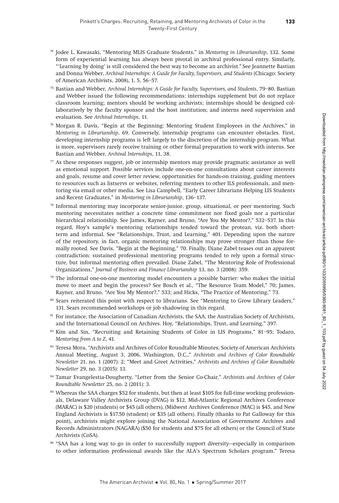- <sup>74</sup> Jodee L. Kawasaki, "Mentoring MLIS Graduate Students," in Mentoring in Librarianship, 132. Some form of experiential learning has always been pivotal in archival professional entry. Similarly, "'Learning by doing' is still considered the best way to become an archivist." See Jeannette Bastian and Donna Webber, Archival Internships: A Guide for Faculty, Supervisors, and Students (Chicago: Society of American Archivists, 2008), 1, 5, 56–57.
- <sup>75</sup> Bastian and Webber, Archival Internships: A Guide for Faculty, Supervisors, and Students, 79–80. Bastian and Webber issued the following recommendations: internships supplement but do not replace classroom learning; mentors should be working archivists; internships should be designed collaboratively by the faculty sponsor and the host institution; and interns need supervision and evaluation. See Archival Internships, 11.
- $\frac{76}{5}$  Morgan R. Davis, "Begin at the Beginning: Mentoring Student Employees in the Archives," in Mentoring in Librarianship, 69. Conversely, internship programs can encounter obstacles. First, developing internship programs is left largely to the discretion of the internship program. What is more, supervisors rarely receive training or other formal preparation to work with interns. See Bastian and Webber, Archival Internships, 11, 38.
- $77$  As these responses suggest, job or internship mentors may provide pragmatic assistance as well as emotional support. Possible services include one-on-one consultations about career interests and goals, resume and cover letter review, opportunities for hands-on training, guiding mentees to resources such as listservs or websites, referring mentees to other ILS professionals, and mentoring via email or other media. See Lisa Campbell, "Early Career Librarians Helping LIS Students and Recent Graduates," in Mentoring in Librarianship, 136–137.
- <sup>78</sup> Informal mentoring may incorporate senior-junior, group, situational, or peer mentoring. Such mentoring necessitates neither a concrete time commitment nor fixed goals nor a particular hierarchical relationship. See James, Rayner, and Bruno, "Are You My Mentor?," 532–537. In this regard, Hoy's sample's mentoring relationships tended toward the protean, viz. both shortterm and informal. See "Relationships, Trust, and Learning," 401. Depending upon the nature of the repository, in fact, organic mentoring relationships may prove stronger than those formally rooted. See Davis, "Begin at the Beginning," 70. Finally, Diane Zabel teases out an apparent contradiction: sustained professional mentoring programs tended to rely upon a formal structure, but informal mentoring often prevailed. Diane Zabel, "The Mentoring Role of Professional Organizations," Journal of Business and Finance Librarianship 13, no. 3 (2008): 359.
- $79$  The informal one-on-one mentoring model encounters a possible barrier: who makes the initial move to meet and begin the process? See Bosch et al., "The Resource Team Model," 70; James, Rayner, and Bruno, "Are You My Mentor?," 533; and Hicks, "The Practice of Mentoring," 73.
- <sup>80</sup> Sears reiterated this point with respect to librarians. See "Mentoring to Grow Library Leaders," 131. Sears recommended workshops or job shadowing in this regard.
- <sup>81</sup> For instance, the Association of Canadian Archivists, the SAA, the Australian Society of Archivists, and the International Council on Archives. Hoy, "Relationships, Trust, and Learning," 397.
- $82$  Kim and Sin, "Recruiting and Retaining Students of Color in LIS Programs," 81–95; Todaro, Mentoring from A to Z, 41.
- 83 Teresa Mora, "Archivists and Archives of Color Roundtable Minutes, Society of American Archivists Annual Meeting, August 3, 2006, Washington, D.C.," Archivists and Archives of Color Roundtable Newsletter 21, no. 1 (2007): 2; "Meet and Greet Activities," Archivists and Archives of Color Roundtable Newsletter 29, no. 3 (2015): 13.
- <sup>84</sup> Tamar Evangelestia-Dougherty, "Letter from the Senior Co-Chair," Archivists and Archives of Color Roundtable Newsletter 25, no. 2 (2011): 3.
- <sup>85</sup> Whereas the SAA charges \$52 for students, but then at least \$105 for full-time working professionals, Delaware Valley Archivists Group (DVAG) is \$12, Mid-Atlantic Regional Archives Conference (MARAC) is \$20 (students) or \$45 (all others), (Midwest Archives Conference (MAC) is \$45, and New England Archivists is \$17.50 (student) or \$35 (all others). Finally (thanks to Pat Galloway for this point), archivists might explore joining the National Association of Government Archives and Records Administrators (NAGARA) (\$50 for students and \$75 for all others) or the Council of State Archivists (CoSA).
- <sup>86</sup> "SAA has a long way to go in order to successfully support diversity—especially in comparison to other information professional awards like the ALA's Spectrum Scholars program." Teresa